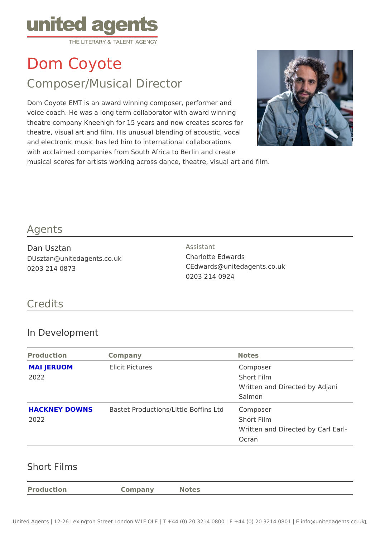# Dom Coyote

## Composer/Musical Director

Dom Coyote EMT is an award winning composer, performer and voice coach. He was a long term collaborator with award winning theatre company Kneehigh for 15 years and now creates scores for theatre, visual art and film. His unusual blending of acoustic, vocal and electronic music has led him to international collaborations with acclaimed companies from South Africa to Berlin and create musical scores for artists working across dance, theatre, visual art and film.

#### Agents

Dan Usztan DUsztan@unitedagents.co.uk 0203 214 0873

Assistant Charlotte Edwards CEdwards@unitedagents.co.uk 0203 214 0924

#### Credits

#### In Development

| Production        | Company                                                  | Notes                          |  |
|-------------------|----------------------------------------------------------|--------------------------------|--|
| <b>MAI JERUOM</b> | Elicit Pictures                                          | Composer                       |  |
| 2022              |                                                          | Short Film                     |  |
|                   |                                                          | Written and Directed by Adjani |  |
|                   |                                                          | Salmon                         |  |
|                   | HACKNEY DOWNSBastet Productions/Little BofClicmsplotsder |                                |  |
| 2022              |                                                          | Short Film                     |  |
|                   |                                                          | Written and Directed by Carl E |  |
|                   |                                                          | Ocran                          |  |
|                   |                                                          |                                |  |

#### Short Films

Production Company Notes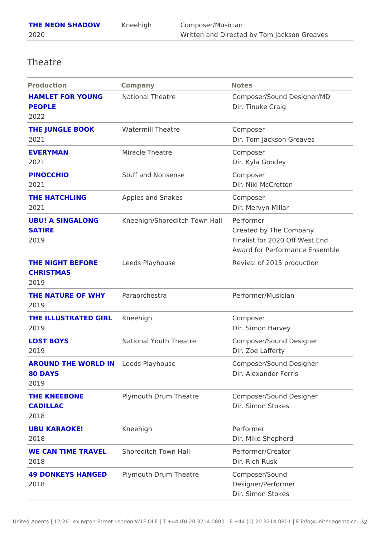### Theatre

| Production                                                | Company                                            | Notes                                                                                      |
|-----------------------------------------------------------|----------------------------------------------------|--------------------------------------------------------------------------------------------|
| HAMLET FOR YOUNGNational Theatre<br><b>PEOPLE</b><br>2022 |                                                    | Composer/Sound Designer/MD<br>Dir. Tinuke Craig                                            |
| THE JUNGLE BOOK Watermill Theatre<br>2021                 |                                                    | Composer<br>Dir. Tom Jackson Greaves                                                       |
| EVERYMAN<br>2021                                          | Miracle Theatre                                    | Composer<br>Dir. Kyla Goodey                                                               |
| PINOCCHIO<br>2021                                         | Stuff and Nonsense                                 | Composer<br>Dir. Niki McCretton                                                            |
| THE HATCHLING<br>2021                                     | Apples and Snakes                                  | Composer<br>Dir. Mervyn Millar                                                             |
| <b>SATIRE</b><br>2019                                     | UBU! A SINGALONG Kneehigh/Shoreditch TowPrenHalmer | Created by The Company<br>Finalist for 2020 Off West End<br>Award for Performance Ensemble |
| THE NIGHT BEFORE Leeds Playhouse<br>CHRISTMAS<br>2019     |                                                    | Revival of 2015 production                                                                 |
| THE NATURE OF WH Paraorchestra<br>2019                    |                                                    | Performer/Musician                                                                         |
| THE ILLUSTRATED GKReehigh<br>2019                         |                                                    | Composer<br>Dir. Simon Harvey                                                              |
| LOST BOYS<br>2019                                         | National Youth Theatre                             | Composer/Sound Designer<br>Dir. Zoe Lafferty                                               |
| AROUND THE WORLDL&Nds Playhouse<br>80 DAYS<br>2019        |                                                    | Composer/Sound Designer<br>Dir. Alexander Ferris                                           |
| THE KNEEBONE<br>CADILLAC<br>2018                          |                                                    | Plymouth Drum Theatre Composer/Sound Designer<br>Dir. Simon Stokes                         |
| UBU KARAOKE!<br>2018                                      | Kneehigh                                           | Performer<br>Dir. Mike Shepherd                                                            |
| 2018                                                      | WE CAN TIME TRAVEShoreditch Town Hall              | Performer/Creator<br>Dir. Rich Rusk                                                        |
| 2018                                                      | 49 DONKEYS HANGEDlymouth Drum Theatre              | Composer/Sound<br>Designer/Performer<br>Dir. Simon Stokes                                  |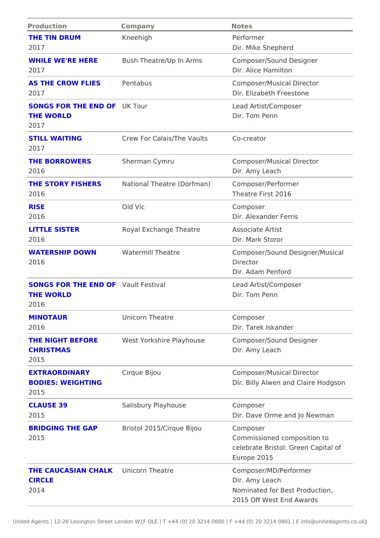| Production                                                  | Company                                                          | Notes                                                                                                 |
|-------------------------------------------------------------|------------------------------------------------------------------|-------------------------------------------------------------------------------------------------------|
| THE TIN DRUM                                                | Kneehigh                                                         | Performer                                                                                             |
| 2017                                                        |                                                                  | Dir. Mike Shepherd                                                                                    |
| 2017                                                        |                                                                  | WHILE WE'RE HERE Bush Theatre/Up In ArmsComposer/Sound Designer<br>Dir. Alice Hamilton                |
| AS THE CROW FLIESPentabus<br>2017                           |                                                                  | Composer/Musical Director<br>Dir. Elizabeth Freestone                                                 |
| <b>SONGS FOR THE ENDIOFFOUR</b><br>THE WORLD<br>2017        |                                                                  | Lead Artist/Composer<br>Dir. Tom Penn                                                                 |
| STILL WAITING<br>2017                                       | Crew For Calais/The VauCtos-creator                              |                                                                                                       |
| THE BORROWERS<br>2016                                       | Sherman Cymru                                                    | Composer/Musical Director<br>Dir. Amy Leach                                                           |
| 2016                                                        | THE STORY FISHERSNational Theatre (Dorfm & mo) mposer/ Performer | Theatre First 2016                                                                                    |
| <b>RISE</b><br>2016                                         | Old Vic                                                          | Composer<br>Dir. Alexander Ferris                                                                     |
| LITTLE SISTER<br>2016                                       | Royal Exchange Theatre Associate Artist                          | Dir. Mark Storor                                                                                      |
| WATERSHIP DOWN<br>2016                                      | Watermill Theatre                                                | Composer/Sound Designer/Music<br>Director<br>Dir. Adam Penford                                        |
| SONGS FOR THE END ALLITT Festival<br>THE WORLD<br>2016      |                                                                  | Lead Artist/Composer<br>Dir. Tom Penn                                                                 |
| MINOTAUR<br>2016                                            | Unicorn Theatre                                                  | Composer<br>Dir. Tarek Iskander                                                                       |
| <b>CHRISTMAS</b><br>2015                                    |                                                                  | THE NIGHT BEFORE West Yorkshire Playhous@omposer/Sound Designer<br>Dir. Amy Leach                     |
| EXTRAORDINARY<br><b>BODIES: WEIGHTING</b><br>2015           | Cirque Bijou                                                     | Composer/Musical Director<br>Dir. Billy Alwen and Claire Hodg                                         |
| CLAUSE 39<br>2015                                           | Salisbury Playhouse                                              | Composer<br>Dir. Dave Orme and Jo Newman                                                              |
| 2015                                                        | BRIDGING THE GAP Bristol 2015/Cirque Bijo@omposer                | Commissioned composition to<br>celebrate Bristol: Green Capital<br>Europe 2015                        |
| THE CAUCASIAN CHALING CORN Theatre<br><b>CIRCLE</b><br>2014 |                                                                  | Composer/MD/Performer<br>Dir. Amy Leach<br>Nominated for Best Production,<br>2015 Off West End Awards |